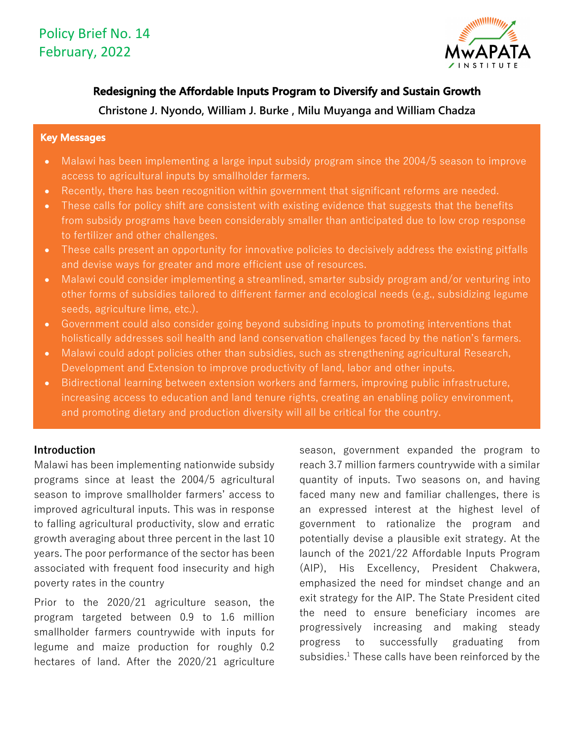

# **Redesigning the Affordable Inputs Program to Diversify and Sustain Growth**

**Christone J. Nyondo, William J. Burke , Milu Muyanga and William Chadza**

#### **Key Messages**

- Malawi has been implementing a large input subsidy program since the 2004/5 season to improve access to agricultural inputs by smallholder farmers.
- Recently, there has been recognition within government that significant reforms are needed.
- These calls for policy shift are consistent with existing evidence that suggests that the benefits from subsidy programs have been considerably smaller than anticipated due to low crop response to fertilizer and other challenges.
- These calls present an opportunity for innovative policies to decisively address the existing pitfalls and devise ways for greater and more efficient use of resources.
- Malawi could consider implementing a streamlined, smarter subsidy program and/or venturing into other forms of subsidies tailored to different farmer and ecological needs (e.g., subsidizing legume seeds, agriculture lime, etc.).
- Government could also consider going beyond subsiding inputs to promoting interventions that holistically addresses soil health and land conservation challenges faced by the nation's farmers.
- Malawi could adopt policies other than subsidies, such as strengthening agricultural Research, Development and Extension to improve productivity of land, labor and other inputs.
- Bidirectional learning between extension workers and farmers, improving public infrastructure, increasing access to education and land tenure rights, creating an enabling policy environment, and promoting dietary and production diversity will all be critical for the country.

# **Introduction**

Malawi has been implementing nationwide subsidy programs since at least the 2004/5 agricultural season to improve smallholder farmers' access to improved agricultural inputs. This was in response to falling agricultural productivity, slow and erratic growth averaging about three percent in the last 10 years. The poor performance of the sector has been associated with frequent food insecurity and high poverty rates in the country

Prior to the 2020/21 agriculture season, the program targeted between 0.9 to 1.6 million smallholder farmers countrywide with inputs for legume and maize production for roughly 0.2 hectares of land. After the 2020/21 agriculture season, government expanded the program to reach 3.7 million farmers countrywide with a similar quantity of inputs. Two seasons on, and having faced many new and familiar challenges, there is an expressed interest at the highest level of government to rationalize the program and potentially devise a plausible exit strategy. At the launch of the 2021/22 Affordable Inputs Program (AIP), His Excellency, President Chakwera, emphasized the need for mindset change and an exit strategy for the AIP. The State President cited the need to ensure beneficiary incomes are progressively increasing and making steady progress to successfully graduating from subsidies. <sup>1</sup> These calls have been reinforced by the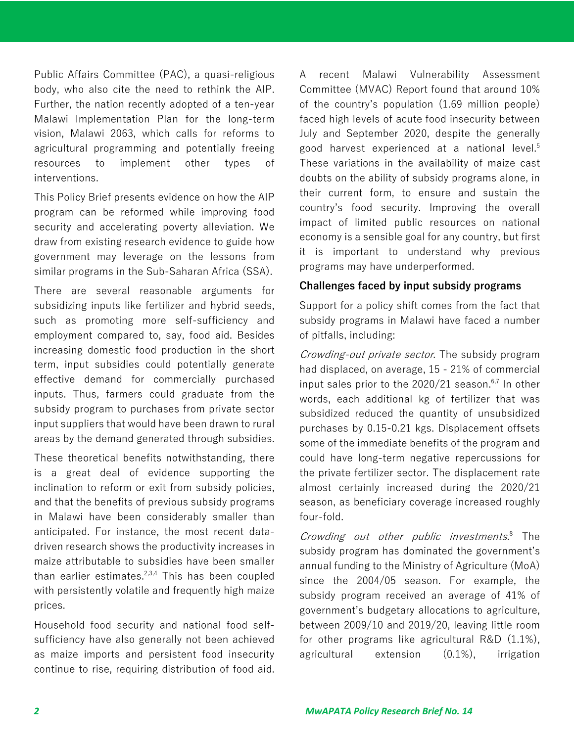Public Affairs Committee (PAC), a quasi-religious body, who also cite the need to rethink the AIP. Further, the nation recently adopted of a ten-year Malawi Implementation Plan for the long-term vision, Malawi 2063, which calls for reforms to agricultural programming and potentially freeing resources to implement other types of interventions.

This Policy Brief presents evidence on how the AIP program can be reformed while improving food security and accelerating poverty alleviation. We draw from existing research evidence to guide how government may leverage on the lessons from similar programs in the Sub-Saharan Africa (SSA).

There are several reasonable arguments for subsidizing inputs like fertilizer and hybrid seeds, such as promoting more self-sufficiency and employment compared to, say, food aid. Besides increasing domestic food production in the short term, input subsidies could potentially generate effective demand for commercially purchased inputs. Thus, farmers could graduate from the subsidy program to purchases from private sector input suppliers that would have been drawn to rural areas by the demand generated through subsidies.

These theoretical benefits notwithstanding, there is a great deal of evidence supporting the inclination to reform or exit from subsidy policies, and that the benefits of previous subsidy programs in Malawi have been considerably smaller than anticipated. For instance, the most recent datadriven research shows the productivity increases in maize attributable to subsidies have been smaller than earlier estimates.<sup>2,3,4</sup> This has been coupled with persistently volatile and frequently high maize prices.

Household food security and national food selfsufficiency have also generally not been achieved as maize imports and persistent food insecurity continue to rise, requiring distribution of food aid. A recent Malawi Vulnerability Assessment Committee (MVAC) Report found that around 10% of the country's population (1.69 million people) faced high levels of acute food insecurity between July and September 2020, despite the generally good harvest experienced at a national level.<sup>5</sup> These variations in the availability of maize cast doubts on the ability of subsidy programs alone, in their current form, to ensure and sustain the country's food security. Improving the overall impact of limited public resources on national economy is a sensible goal for any country, but first it is important to understand why previous programs may have underperformed.

#### **Challenges faced by input subsidy programs**

Support for a policy shift comes from the fact that subsidy programs in Malawi have faced a number of pitfalls, including:

Crowding-out private sector. The subsidy program had displaced, on average, 15 - 21% of commercial input sales prior to the 2020/21 season. 6,7 In other words, each additional kg of fertilizer that was subsidized reduced the quantity of unsubsidized purchases by 0.15-0.21 kgs. Displacement offsets some of the immediate benefits of the program and could have long-term negative repercussions for the private fertilizer sector. The displacement rate almost certainly increased during the 2020/21 season, as beneficiary coverage increased roughly four-fold.

Crowding out other public investments.<sup>8</sup> The subsidy program has dominated the government's annual funding to the Ministry of Agriculture (MoA) since the 2004/05 season. For example, the subsidy program received an average of 41% of government's budgetary allocations to agriculture, between 2009/10 and 2019/20, leaving little room for other programs like agricultural R&D (1.1%), agricultural extension (0.1%), irrigation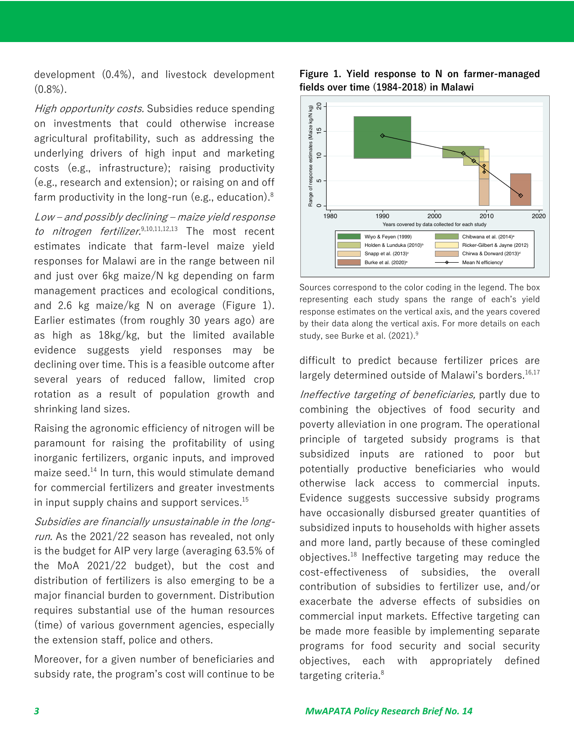development (0.4%), and livestock development  $(0.8\%)$ .

High opportunity costs. Subsidies reduce spending on investments that could otherwise increase agricultural profitability, such as addressing the underlying drivers of high input and marketing costs (e.g., infrastructure); raising productivity (e.g., research and extension); or raising on and off farm productivity in the long-run (e.g., education). 8

Low – and possibly declining – maize yield response to nitrogen fertilizer.<sup>9,10,11,12,13</sup> The most recent estimates indicate that farm-level maize yield responses for Malawi are in the range between nil and just over 6kg maize/N kg depending on farm management practices and ecological conditions, and 2.6 kg maize/kg N on average (Figure 1). Earlier estimates (from roughly 30 years ago) are as high as 18kg/kg, but the limited available evidence suggests yield responses may be declining over time. This is a feasible outcome after several years of reduced fallow, limited crop rotation as a result of population growth and shrinking land sizes.

Raising the agronomic efficiency of nitrogen will be paramount for raising the profitability of using inorganic fertilizers, organic inputs, and improved maize seed. <sup>14</sup> In turn, this would stimulate demand for commercial fertilizers and greater investments in input supply chains and support services.<sup>15</sup>

Subsidies are financially unsustainable in the longrun. As the 2021/22 season has revealed, not only is the budget for AIP very large (averaging 63.5% of the MoA 2021/22 budget), but the cost and distribution of fertilizers is also emerging to be a major financial burden to government. Distribution requires substantial use of the human resources (time) of various government agencies, especially the extension staff, police and others.

Moreover, for a given number of beneficiaries and subsidy rate, the program's cost will continue to be





Sources correspond to the color coding in the legend. The box representing each study spans the range of each's yield response estimates on the vertical axis, and the years covered by their data along the vertical axis. For more details on each study, see Burke et al. (2021). 9

difficult to predict because fertilizer prices are largely determined outside of Malawi's borders.<sup>16,17</sup>

Ineffective targeting of beneficiaries, partly due to combining the objectives of food security and poverty alleviation in one program. The operational principle of targeted subsidy programs is that subsidized inputs are rationed to poor but potentially productive beneficiaries who would otherwise lack access to commercial inputs. Evidence suggests successive subsidy programs have occasionally disbursed greater quantities of subsidized inputs to households with higher assets and more land, partly because of these comingled objectives. <sup>18</sup> Ineffective targeting may reduce the cost-effectiveness of subsidies, the overall contribution of subsidies to fertilizer use, and/or exacerbate the adverse effects of subsidies on commercial input markets. Effective targeting can be made more feasible by implementing separate programs for food security and social security objectives, each with appropriately defined targeting criteria. 8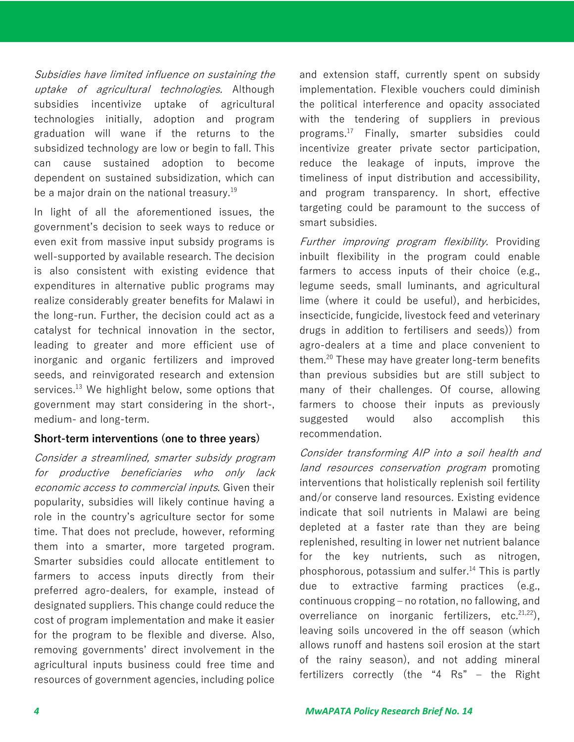Subsidies have limited influence on sustaining the uptake of agricultural technologies. Although subsidies incentivize uptake of agricultural technologies initially, adoption and program graduation will wane if the returns to the subsidized technology are low or begin to fall. This can cause sustained adoption to become dependent on sustained subsidization, which can be a major drain on the national treasury. 19

In light of all the aforementioned issues, the government's decision to seek ways to reduce or even exit from massive input subsidy programs is well-supported by available research. The decision is also consistent with existing evidence that expenditures in alternative public programs may realize considerably greater benefits for Malawi in the long-run. Further, the decision could act as a catalyst for technical innovation in the sector, leading to greater and more efficient use of inorganic and organic fertilizers and improved seeds, and reinvigorated research and extension services.<sup>13</sup> We highlight below, some options that government may start considering in the short-, medium- and long-term.

## **Short-term interventions (one to three years)**

Consider a streamlined, smarter subsidy program for productive beneficiaries who only lack economic access to commercial inputs. Given their popularity, subsidies will likely continue having a role in the country's agriculture sector for some time. That does not preclude, however, reforming them into a smarter, more targeted program. Smarter subsidies could allocate entitlement to farmers to access inputs directly from their preferred agro-dealers, for example, instead of designated suppliers. This change could reduce the cost of program implementation and make it easier for the program to be flexible and diverse. Also, removing governments' direct involvement in the agricultural inputs business could free time and resources of government agencies, including police

and extension staff, currently spent on subsidy implementation. Flexible vouchers could diminish the political interference and opacity associated with the tendering of suppliers in previous programs. <sup>17</sup> Finally, smarter subsidies could incentivize greater private sector participation, reduce the leakage of inputs, improve the timeliness of input distribution and accessibility, and program transparency. In short, effective targeting could be paramount to the success of smart subsidies.

Further improving program flexibility. Providing inbuilt flexibility in the program could enable farmers to access inputs of their choice (e.g., legume seeds, small luminants, and agricultural lime (where it could be useful), and herbicides, insecticide, fungicide, livestock feed and veterinary drugs in addition to fertilisers and seeds)) from agro-dealers at a time and place convenient to them.<sup>20</sup> These may have greater long-term benefits than previous subsidies but are still subject to many of their challenges. Of course, allowing farmers to choose their inputs as previously suggested would also accomplish this recommendation.

Consider transforming AIP into a soil health and land resources conservation program promoting interventions that holistically replenish soil fertility and/or conserve land resources. Existing evidence indicate that soil nutrients in Malawi are being depleted at a faster rate than they are being replenished, resulting in lower net nutrient balance for the key nutrients, such as nitrogen, phosphorous, potassium and sulfer. <sup>14</sup> This is partly due to extractive farming practices (e.g., continuous cropping – no rotation, no fallowing, and overreliance on inorganic fertilizers, etc. $21,22$ ), leaving soils uncovered in the off season (which allows runoff and hastens soil erosion at the start of the rainy season), and not adding mineral fertilizers correctly (the "4 Rs" - the Right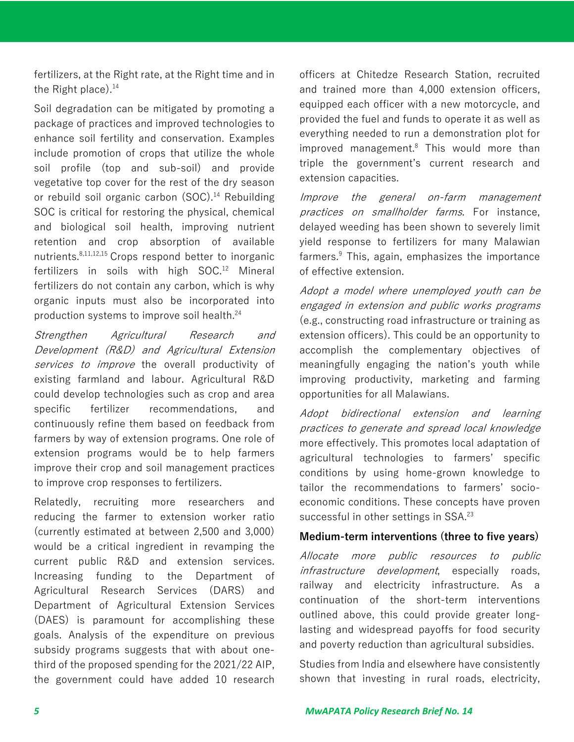fertilizers, at the Right rate, at the Right time and in the Right place). 14

Soil degradation can be mitigated by promoting a package of practices and improved technologies to enhance soil fertility and conservation. Examples include promotion of crops that utilize the whole soil profile (top and sub-soil) and provide vegetative top cover for the rest of the dry season or rebuild soil organic carbon (SOC). <sup>14</sup> Rebuilding SOC is critical for restoring the physical, chemical and biological soil health, improving nutrient retention and crop absorption of available nutrients. 8,11,12,15 Crops respond better to inorganic fertilizers in soils with high SOC. <sup>12</sup> Mineral fertilizers do not contain any carbon, which is why organic inputs must also be incorporated into production systems to improve soil health. 24

Strengthen Agricultural Research and Development (R&D) and Agricultural Extension services to improve the overall productivity of existing farmland and labour. Agricultural R&D could develop technologies such as crop and area specific fertilizer recommendations, and continuously refine them based on feedback from farmers by way of extension programs. One role of extension programs would be to help farmers improve their crop and soil management practices to improve crop responses to fertilizers.

Relatedly, recruiting more researchers and reducing the farmer to extension worker ratio (currently estimated at between 2,500 and 3,000) would be a critical ingredient in revamping the current public R&D and extension services. Increasing funding to the Department of Agricultural Research Services (DARS) and Department of Agricultural Extension Services (DAES) is paramount for accomplishing these goals. Analysis of the expenditure on previous subsidy programs suggests that with about onethird of the proposed spending for the 2021/22 AIP, the government could have added 10 research

officers at Chitedze Research Station, recruited and trained more than 4,000 extension officers, equipped each officer with a new motorcycle, and provided the fuel and funds to operate it as well as everything needed to run a demonstration plot for improved management.8 This would more than triple the government's current research and extension capacities.

Improve the general on-farm management practices on smallholder farms. For instance, delayed weeding has been shown to severely limit yield response to fertilizers for many Malawian farmers.<sup>9</sup> This, again, emphasizes the importance of effective extension.

Adopt a model where unemployed youth can be engaged in extension and public works programs (e.g., constructing road infrastructure or training as extension officers). This could be an opportunity to accomplish the complementary objectives of meaningfully engaging the nation's youth while improving productivity, marketing and farming opportunities for all Malawians.

Adopt bidirectional extension and learning practices to generate and spread local knowledge more effectively. This promotes local adaptation of agricultural technologies to farmers' specific conditions by using home-grown knowledge to tailor the recommendations to farmers' socioeconomic conditions. These concepts have proven successful in other settings in SSA.<sup>23</sup>

## **Medium-term interventions (three to five years)**

Allocate more public resources to public infrastructure development, especially roads, railway and electricity infrastructure. As a continuation of the short-term interventions outlined above, this could provide greater longlasting and widespread payoffs for food security and poverty reduction than agricultural subsidies.

Studies from India and elsewhere have consistently shown that investing in rural roads, electricity,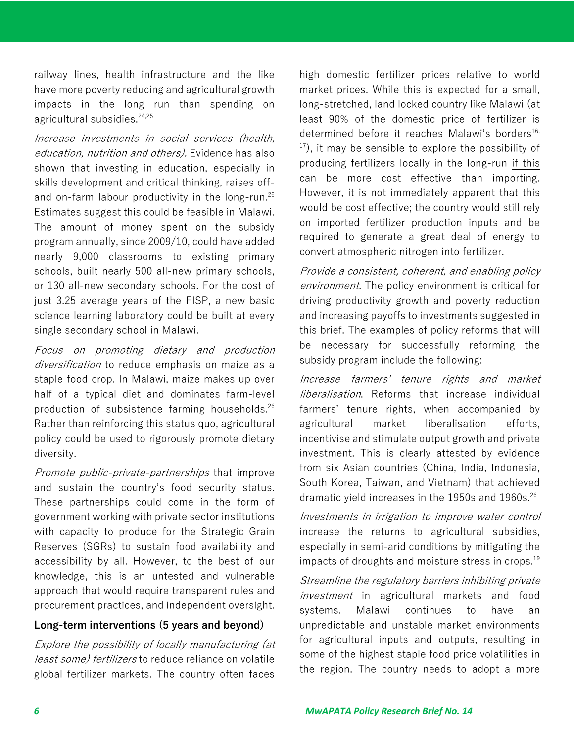railway lines, health infrastructure and the like have more poverty reducing and agricultural growth impacts in the long run than spending on agricultural subsidies. 24,25

Increase investments in social services (health, education, nutrition and others). Evidence has also shown that investing in education, especially in skills development and critical thinking, raises offand on-farm labour productivity in the long-run.<sup>26</sup> Estimates suggest this could be feasible in Malawi. The amount of money spent on the subsidy program annually, since 2009/10, could have added nearly 9,000 classrooms to existing primary schools, built nearly 500 all-new primary schools, or 130 all-new secondary schools. For the cost of just 3.25 average years of the FISP, a new basic science learning laboratory could be built at every single secondary school in Malawi.

Focus on promoting dietary and production diversification to reduce emphasis on maize as a staple food crop. In Malawi, maize makes up over half of a typical diet and dominates farm-level production of subsistence farming households. 26 Rather than reinforcing this status quo, agricultural policy could be used to rigorously promote dietary diversity.

Promote public-private-partnerships that improve and sustain the country's food security status. These partnerships could come in the form of government working with private sector institutions with capacity to produce for the Strategic Grain Reserves (SGRs) to sustain food availability and accessibility by all. However, to the best of our knowledge, this is an untested and vulnerable approach that would require transparent rules and procurement practices, and independent oversight.

## **Long-term interventions (5 years and beyond)**

Explore the possibility of locally manufacturing (at least some) fertilizers to reduce reliance on volatile global fertilizer markets. The country often faces

high domestic fertilizer prices relative to world market prices. While this is expected for a small, long-stretched, land locked country like Malawi (at least 90% of the domestic price of fertilizer is determined before it reaches Malawi's borders<sup>16,</sup>  $17$ ), it may be sensible to explore the possibility of producing fertilizers locally in the long-run if this can be more cost effective than importing. However, it is not immediately apparent that this would be cost effective; the country would still rely on imported fertilizer production inputs and be required to generate a great deal of energy to convert atmospheric nitrogen into fertilizer.

Provide a consistent, coherent, and enabling policy environment. The policy environment is critical for driving productivity growth and poverty reduction and increasing payoffs to investments suggested in this brief. The examples of policy reforms that will be necessary for successfully reforming the subsidy program include the following:

Increase farmers' tenure rights and market *liberalisation*. Reforms that increase individual farmers' tenure rights, when accompanied by agricultural market liberalisation efforts, incentivise and stimulate output growth and private investment. This is clearly attested by evidence from six Asian countries (China, India, Indonesia, South Korea, Taiwan, and Vietnam) that achieved dramatic yield increases in the 1950s and 1960s.<sup>26</sup>

Investments in irrigation to improve water control increase the returns to agricultural subsidies, especially in semi-arid conditions by mitigating the impacts of droughts and moisture stress in crops. 19

Streamline the regulatory barriers inhibiting private investment in agricultural markets and food systems. Malawi continues to have an unpredictable and unstable market environments for agricultural inputs and outputs, resulting in some of the highest staple food price volatilities in the region. The country needs to adopt a more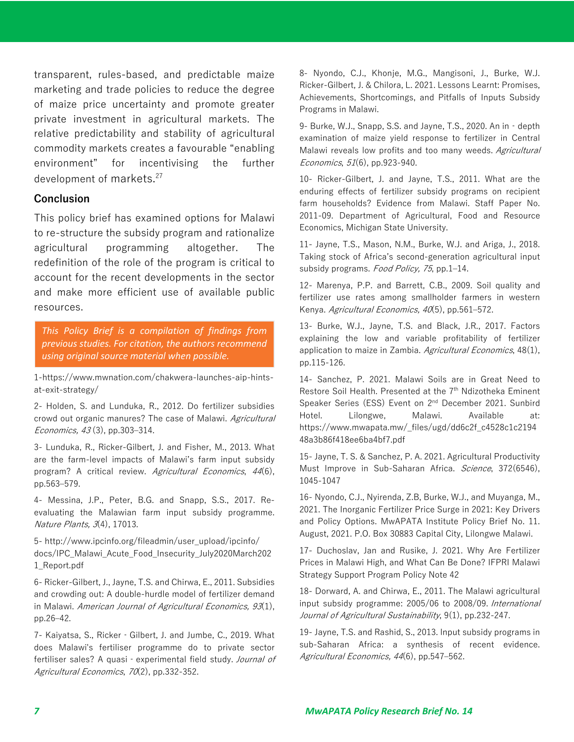transparent, rules-based, and predictable maize marketing and trade policies to reduce the degree of maize price uncertainty and promote greater private investment in agricultural markets. The relative predictability and stability of agricultural commodity markets creates a favourable "enabling environment" for incentivising the further development of markets.<sup>27</sup>

#### **Conclusion**

This policy brief has examined options for Malawi to re-structure the subsidy program and rationalize agricultural programming altogether. The redefinition of the role of the program is critical to account for the recent developments in the sector and make more efficient use of available public resources.

*This Policy Brief is a compilation of findings from previous studies. For citation, the authors recommend using original source material when possible.*

1-https://www.mwnation.com/chakwera-launches-aip-hintsat-exit-strategy/

2- Holden, S. and Lunduka, R., 2012. Do fertilizer subsidies crowd out organic manures? The case of Malawi. Agricultural Economics, 43(3), pp.303-314.

3- Lunduka, R., Ricker-Gilbert, J. and Fisher, M., 2013. What are the farm-level impacts of Malawi's farm input subsidy program? A critical review. Agricultural Economics, 44(6), pp.563‒579.

4- Messina, J.P., Peter, B.G. and Snapp, S.S., 2017. Reevaluating the Malawian farm input subsidy programme. Nature Plants, 3(4), 17013.

5- http://www.ipcinfo.org/fileadmin/user\_upload/ipcinfo/ docs/IPC\_Malawi\_Acute\_Food\_Insecurity\_July2020March202 1\_Report.pdf

6- Ricker-Gilbert, J., Jayne, T.S. and Chirwa, E., 2011. Subsidies and crowding out: A double-hurdle model of fertilizer demand in Malawi. American Journal of Agricultural Economics, 93(1), pp.26‒42.

7- Kaiyatsa, S., Ricker‐Gilbert, J. and Jumbe, C., 2019. What does Malawi's fertiliser programme do to private sector fertiliser sales? A quasi - experimental field study. Journal of Agricultural Economics, 70(2), pp.332-352.

8- Nyondo, C.J., Khonje, M.G., Mangisoni, J., Burke, W.J. Ricker-Gilbert, J. & Chilora, L. 2021. Lessons Learnt: Promises, Achievements, Shortcomings, and Pitfalls of Inputs Subsidy Programs in Malawi.

9- Burke, W.J., Snapp, S.S. and Jayne, T.S., 2020. An in‐depth examination of maize yield response to fertilizer in Central Malawi reveals low profits and too many weeds. Agricultural Economics, 51(6), pp.923-940.

10- Ricker-Gilbert, J. and Jayne, T.S., 2011. What are the enduring effects of fertilizer subsidy programs on recipient farm households? Evidence from Malawi. Staff Paper No. 2011-09. Department of Agricultural, Food and Resource Economics, Michigan State University.

11- Jayne, T.S., Mason, N.M., Burke, W.J. and Ariga, J., 2018. Taking stock of Africa's second-generation agricultural input subsidy programs. Food Policy, 75, pp.1-14.

12- Marenya, P.P. and Barrett, C.B., 2009. Soil quality and fertilizer use rates among smallholder farmers in western Kenya. Agricultural Economics, 40(5), pp.561-572.

13- Burke, W.J., Jayne, T.S. and Black, J.R., 2017. Factors explaining the low and variable profitability of fertilizer application to maize in Zambia. Agricultural Economics, 48(1), pp.115-126.

14- Sanchez, P. 2021. Malawi Soils are in Great Need to Restore Soil Health. Presented at the 7<sup>th</sup> Ndizotheka Eminent Speaker Series (ESS) Event on 2<sup>nd</sup> December 2021. Sunbird Hotel. Lilongwe, Malawi. Available at: https://www.mwapata.mw/\_files/ugd/dd6c2f\_c4528c1c2194 48a3b86f418ee6ba4bf7.pdf

15- Jayne, T. S. & Sanchez, P. A. 2021. Agricultural Productivity Must Improve in Sub-Saharan Africa. Science, 372(6546), 1045-1047

16- Nyondo, C.J., Nyirenda, Z.B, Burke, W.J., and Muyanga, M., 2021. The Inorganic Fertilizer Price Surge in 2021: Key Drivers and Policy Options. MwAPATA Institute Policy Brief No. 11. August, 2021. P.O. Box 30883 Capital City, Lilongwe Malawi.

17- Duchoslav, Jan and Rusike, J. 2021. Why Are Fertilizer Prices in Malawi High, and What Can Be Done? IFPRI Malawi Strategy Support Program Policy Note 42

18- Dorward, A. and Chirwa, E., 2011. The Malawi agricultural input subsidy programme: 2005/06 to 2008/09. International Journal of Agricultural Sustainability, 9(1), pp.232-247.

19- Jayne, T.S. and Rashid, S., 2013. Input subsidy programs in sub-Saharan Africa: a synthesis of recent evidence. Agricultural Economics, 44(6), pp.547-562.